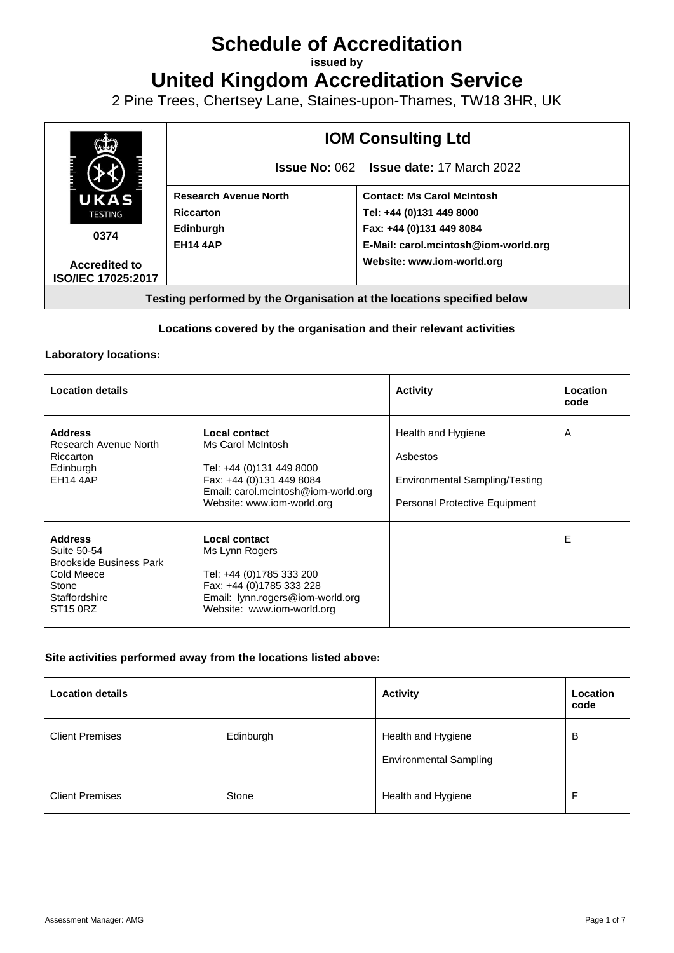# **Schedule of Accreditation**

**issued by**

**United Kingdom Accreditation Service**

2 Pine Trees, Chertsey Lane, Staines-upon-Thames, TW18 3HR, UK



## **Locations covered by the organisation and their relevant activities**

#### **Laboratory locations:**

| <b>Location details</b>                                                                                                         |                                                                                                                                                                 | <b>Activity</b>                                                                                   | Location<br>code |
|---------------------------------------------------------------------------------------------------------------------------------|-----------------------------------------------------------------------------------------------------------------------------------------------------------------|---------------------------------------------------------------------------------------------------|------------------|
| <b>Address</b><br>Research Avenue North<br>Riccarton<br>Edinburgh<br><b>EH14 4AP</b>                                            | Local contact<br>Ms Carol McIntosh<br>Tel: +44 (0)131 449 8000<br>Fax: +44 (0)131 449 8084<br>Email: carol.mcintosh@iom-world.org<br>Website: www.iom-world.org | Health and Hygiene<br>Asbestos<br>Environmental Sampling/Testing<br>Personal Protective Equipment | A                |
| <b>Address</b><br>Suite 50-54<br><b>Brookside Business Park</b><br>Cold Meece<br>Stone<br>Staffordshire<br>ST <sub>15</sub> 0RZ | Local contact<br>Ms Lynn Rogers<br>Tel: +44 (0)1785 333 200<br>Fax: +44 (0)1785 333 228<br>Email: lynn.rogers@iom-world.org<br>Website: www.iom-world.org       |                                                                                                   | Е                |

## **Site activities performed away from the locations listed above:**

| <b>Location details</b> |           | <b>Activity</b>                                     | Location<br>code |
|-------------------------|-----------|-----------------------------------------------------|------------------|
| <b>Client Premises</b>  | Edinburgh | Health and Hygiene<br><b>Environmental Sampling</b> | B                |
| <b>Client Premises</b>  | Stone     | Health and Hygiene                                  | Е                |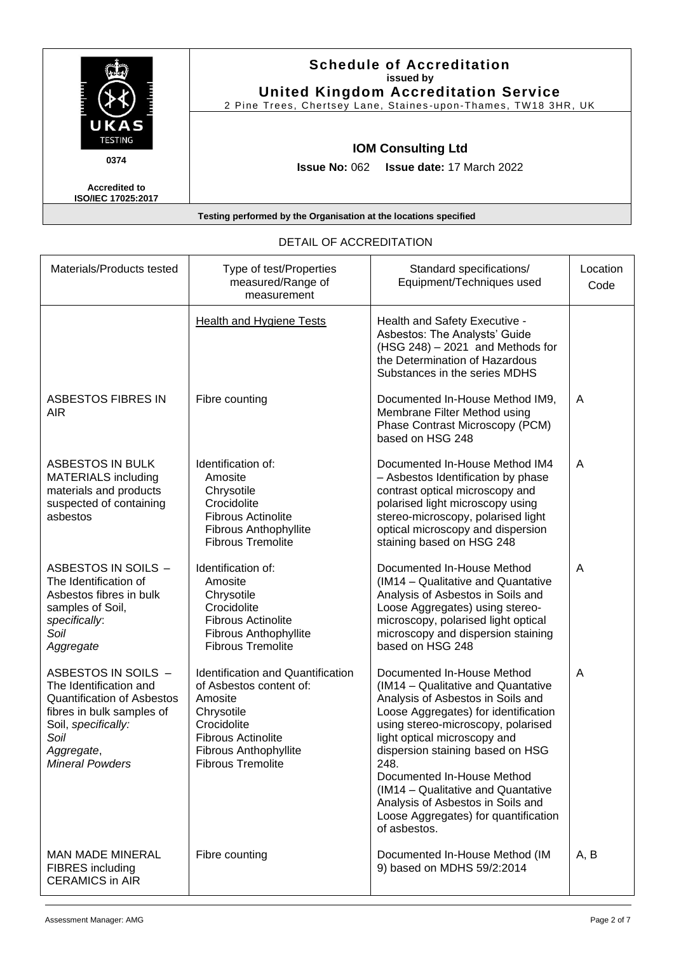|                                                   | <b>Schedule of Accreditation</b><br>issued by<br><b>United Kingdom Accreditation Service</b><br>2 Pine Trees, Chertsey Lane, Staines-upon-Thames, TW18 3HR, UK |
|---------------------------------------------------|----------------------------------------------------------------------------------------------------------------------------------------------------------------|
| UKAS<br><b>TESTING</b><br>0374                    | <b>IOM Consulting Ltd</b>                                                                                                                                      |
| <b>Accredited to</b><br><b>ISO/IEC 17025:2017</b> | <b>Issue No: 062 Issue date: 17 March 2022</b>                                                                                                                 |

| Materials/Products tested                                                                                                                                                              | Type of test/Properties<br>measured/Range of<br>measurement                                                                                                                                          | Standard specifications/<br>Equipment/Techniques used                                                                                                                                                                                                                                                                                                                                                                            | Location<br>Code |
|----------------------------------------------------------------------------------------------------------------------------------------------------------------------------------------|------------------------------------------------------------------------------------------------------------------------------------------------------------------------------------------------------|----------------------------------------------------------------------------------------------------------------------------------------------------------------------------------------------------------------------------------------------------------------------------------------------------------------------------------------------------------------------------------------------------------------------------------|------------------|
|                                                                                                                                                                                        | <b>Health and Hygiene Tests</b>                                                                                                                                                                      | Health and Safety Executive -<br>Asbestos: The Analysts' Guide<br>$(HSG 248) - 2021$ and Methods for<br>the Determination of Hazardous<br>Substances in the series MDHS                                                                                                                                                                                                                                                          |                  |
| <b>ASBESTOS FIBRES IN</b><br><b>AIR</b>                                                                                                                                                | Fibre counting                                                                                                                                                                                       | Documented In-House Method IM9,<br>Membrane Filter Method using<br>Phase Contrast Microscopy (PCM)<br>based on HSG 248                                                                                                                                                                                                                                                                                                           | A                |
| <b>ASBESTOS IN BULK</b><br><b>MATERIALS including</b><br>materials and products<br>suspected of containing<br>asbestos                                                                 | Identification of:<br>Amosite<br>Chrysotile<br>Crocidolite<br><b>Fibrous Actinolite</b><br>Fibrous Anthophyllite<br><b>Fibrous Tremolite</b>                                                         | Documented In-House Method IM4<br>- Asbestos Identification by phase<br>contrast optical microscopy and<br>polarised light microscopy using<br>stereo-microscopy, polarised light<br>optical microscopy and dispersion<br>staining based on HSG 248                                                                                                                                                                              | A                |
| ASBESTOS IN SOILS -<br>The Identification of<br>Asbestos fibres in bulk<br>samples of Soil,<br>specifically:<br>Soil<br>Aggregate                                                      | Identification of:<br>Amosite<br>Chrysotile<br>Crocidolite<br><b>Fibrous Actinolite</b><br>Fibrous Anthophyllite<br><b>Fibrous Tremolite</b>                                                         | Documented In-House Method<br>(IM14 - Qualitative and Quantative<br>Analysis of Asbestos in Soils and<br>Loose Aggregates) using stereo-<br>microscopy, polarised light optical<br>microscopy and dispersion staining<br>based on HSG 248                                                                                                                                                                                        | A                |
| ASBESTOS IN SOILS -<br>The Identification and<br><b>Quantification of Asbestos</b><br>fibres in bulk samples of<br>Soil, specifically:<br>Soil<br>Aggregate,<br><b>Mineral Powders</b> | <b>Identification and Quantification</b><br>of Asbestos content of:<br>Amosite<br>Chrysotile<br>Crocidolite<br><b>Fibrous Actinolite</b><br><b>Fibrous Anthophyllite</b><br><b>Fibrous Tremolite</b> | Documented In-House Method<br>(IM14 - Qualitative and Quantative<br>Analysis of Asbestos in Soils and<br>Loose Aggregates) for identification<br>using stereo-microscopy, polarised<br>light optical microscopy and<br>dispersion staining based on HSG<br>248.<br>Documented In-House Method<br>(IM14 - Qualitative and Quantative<br>Analysis of Asbestos in Soils and<br>Loose Aggregates) for quantification<br>of asbestos. | A                |
| <b>MAN MADE MINERAL</b><br><b>FIBRES</b> including<br><b>CERAMICS in AIR</b>                                                                                                           | Fibre counting                                                                                                                                                                                       | Documented In-House Method (IM<br>9) based on MDHS 59/2:2014                                                                                                                                                                                                                                                                                                                                                                     | A, B             |

# DETAIL OF ACCREDITATION

r

 $\overline{1}$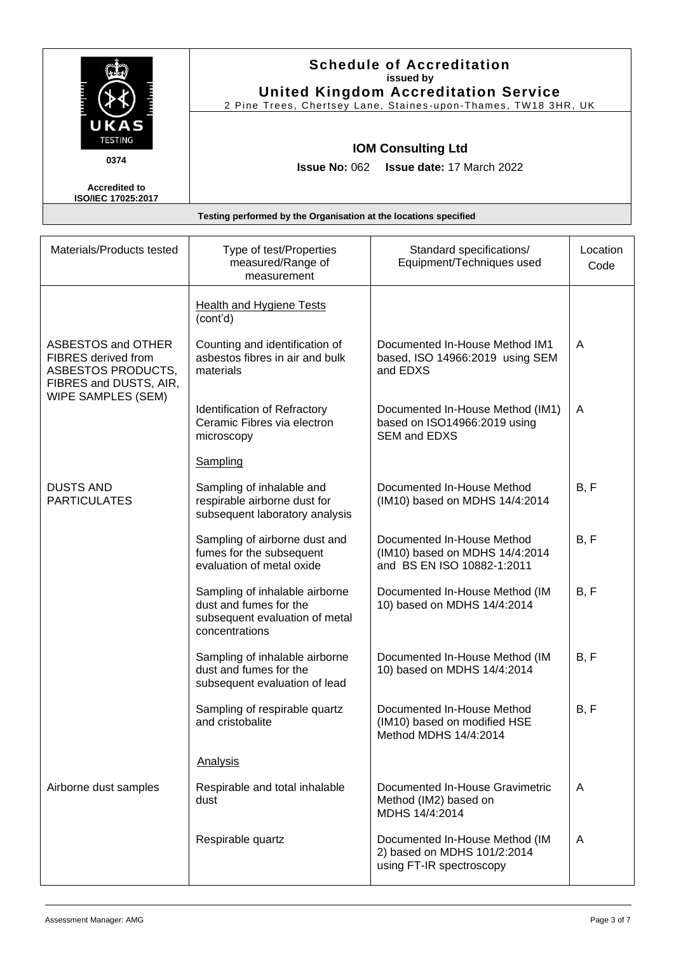|                                                   | <b>Schedule of Accreditation</b><br>issued by<br><b>United Kingdom Accreditation Service</b><br>2 Pine Trees, Chertsey Lane, Staines-upon-Thames, TW18 3HR, UK |
|---------------------------------------------------|----------------------------------------------------------------------------------------------------------------------------------------------------------------|
| UKAS<br><b>TESTING</b><br>0374                    | <b>IOM Consulting Ltd</b><br><b>Issue No: 062 Issue date: 17 March 2022</b>                                                                                    |
| <b>Accredited to</b><br><b>ISO/IEC 17025:2017</b> |                                                                                                                                                                |
|                                                   | Testing performed by the Organisation at the locations specified                                                                                               |

| Materials/Products tested                                                                               | Type of test/Properties<br>measured/Range of<br>measurement                                                  | Standard specifications/<br>Equipment/Techniques used                                      | Location<br>Code |
|---------------------------------------------------------------------------------------------------------|--------------------------------------------------------------------------------------------------------------|--------------------------------------------------------------------------------------------|------------------|
|                                                                                                         | <b>Health and Hygiene Tests</b><br>(cont'd)                                                                  |                                                                                            |                  |
| ASBESTOS and OTHER<br><b>FIBRES</b> derived from<br><b>ASBESTOS PRODUCTS,</b><br>FIBRES and DUSTS, AIR, | Counting and identification of<br>asbestos fibres in air and bulk<br>materials                               | Documented In-House Method IM1<br>based, ISO 14966:2019 using SEM<br>and EDXS              | A                |
| WIPE SAMPLES (SEM)                                                                                      | Identification of Refractory<br>Ceramic Fibres via electron<br>microscopy                                    | Documented In-House Method (IM1)<br>based on ISO14966:2019 using<br><b>SEM and EDXS</b>    | A                |
|                                                                                                         | Sampling                                                                                                     |                                                                                            |                  |
| <b>DUSTS AND</b><br><b>PARTICULATES</b>                                                                 | Sampling of inhalable and<br>respirable airborne dust for<br>subsequent laboratory analysis                  | Documented In-House Method<br>(IM10) based on MDHS 14/4:2014                               | B, F             |
|                                                                                                         | Sampling of airborne dust and<br>fumes for the subsequent<br>evaluation of metal oxide                       | Documented In-House Method<br>(IM10) based on MDHS 14/4:2014<br>and BS EN ISO 10882-1:2011 | B, F             |
|                                                                                                         | Sampling of inhalable airborne<br>dust and fumes for the<br>subsequent evaluation of metal<br>concentrations | Documented In-House Method (IM<br>10) based on MDHS 14/4:2014                              | B, F             |
|                                                                                                         | Sampling of inhalable airborne<br>dust and fumes for the<br>subsequent evaluation of lead                    | Documented In-House Method (IM<br>10) based on MDHS 14/4:2014                              | B, F             |
|                                                                                                         | Sampling of respirable quartz<br>and cristobalite                                                            | Documented In-House Method<br>(IM10) based on modified HSE<br>Method MDHS 14/4:2014        | B, F             |
|                                                                                                         | Analysis                                                                                                     |                                                                                            |                  |
| Airborne dust samples                                                                                   | Respirable and total inhalable<br>dust                                                                       | Documented In-House Gravimetric<br>Method (IM2) based on<br>MDHS 14/4:2014                 | A                |
|                                                                                                         | Respirable quartz                                                                                            | Documented In-House Method (IM<br>2) based on MDHS 101/2:2014<br>using FT-IR spectroscopy  | A                |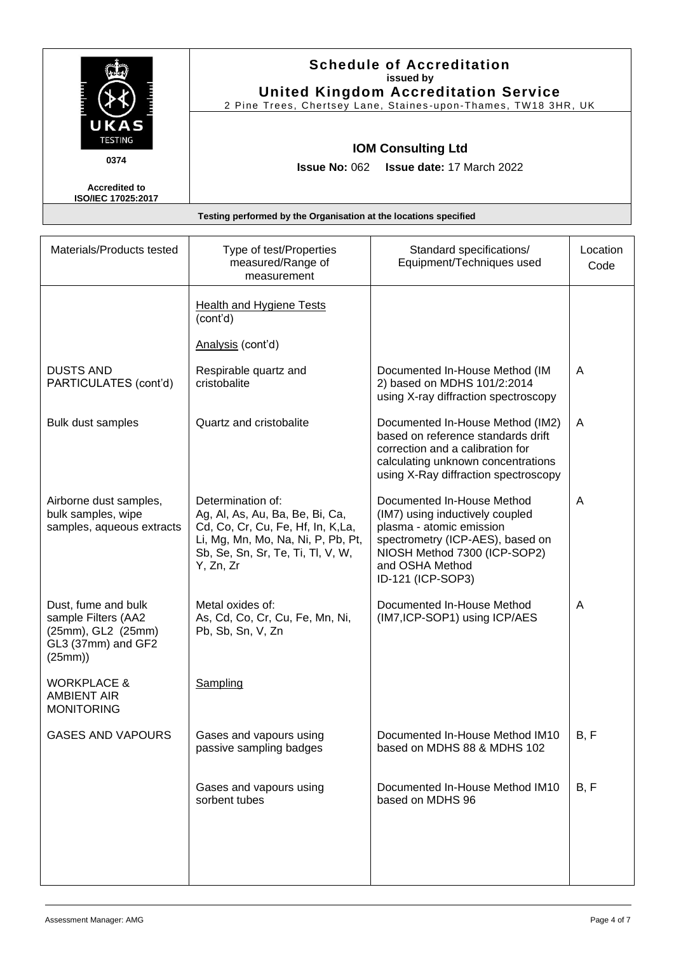|                                            | <b>Schedule of Accreditation</b><br>issued by<br><b>United Kingdom Accreditation Service</b><br>2 Pine Trees, Chertsey Lane, Staines-upon-Thames, TW18 3HR, UK |
|--------------------------------------------|----------------------------------------------------------------------------------------------------------------------------------------------------------------|
| UKAS<br><b>TESTING</b><br>0374             | <b>IOM Consulting Ltd</b><br><b>Issue No: 062 Issue date: 17 March 2022</b>                                                                                    |
| <b>Accredited to</b><br>ISO/IEC 17025:2017 |                                                                                                                                                                |
|                                            | Testing performed by the Organisation at the locations specified                                                                                               |

| Materials/Products tested                                                                        | Type of test/Properties<br>measured/Range of<br>measurement                                                                                                                       | Standard specifications/<br>Equipment/Techniques used                                                                                                                                                 | Location<br>Code |
|--------------------------------------------------------------------------------------------------|-----------------------------------------------------------------------------------------------------------------------------------------------------------------------------------|-------------------------------------------------------------------------------------------------------------------------------------------------------------------------------------------------------|------------------|
|                                                                                                  | <b>Health and Hygiene Tests</b><br>(cont'd)                                                                                                                                       |                                                                                                                                                                                                       |                  |
|                                                                                                  | Analysis (cont'd)                                                                                                                                                                 |                                                                                                                                                                                                       |                  |
| <b>DUSTS AND</b><br>PARTICULATES (cont'd)                                                        | Respirable quartz and<br>cristobalite                                                                                                                                             | Documented In-House Method (IM<br>2) based on MDHS 101/2:2014<br>using X-ray diffraction spectroscopy                                                                                                 | A                |
| Bulk dust samples                                                                                | Quartz and cristobalite                                                                                                                                                           | Documented In-House Method (IM2)<br>based on reference standards drift<br>correction and a calibration for<br>calculating unknown concentrations<br>using X-Ray diffraction spectroscopy              | A                |
| Airborne dust samples,<br>bulk samples, wipe<br>samples, aqueous extracts                        | Determination of:<br>Ag, Al, As, Au, Ba, Be, Bi, Ca,<br>Cd, Co, Cr, Cu, Fe, Hf, In, K,La,<br>Li, Mg, Mn, Mo, Na, Ni, P, Pb, Pt,<br>Sb, Se, Sn, Sr, Te, Ti, Tl, V, W,<br>Y, Zn, Zr | Documented In-House Method<br>(IM7) using inductively coupled<br>plasma - atomic emission<br>spectrometry (ICP-AES), based on<br>NIOSH Method 7300 (ICP-SOP2)<br>and OSHA Method<br>ID-121 (ICP-SOP3) | A                |
| Dust, fume and bulk<br>sample Filters (AA2<br>(25mm), GL2 (25mm)<br>GL3 (37mm) and GF2<br>(25mm) | Metal oxides of:<br>As, Cd, Co, Cr, Cu, Fe, Mn, Ni,<br>Pb, Sb, Sn, V, Zn                                                                                                          | Documented In-House Method<br>(IM7, ICP-SOP1) using ICP/AES                                                                                                                                           | A                |
| <b>WORKPLACE &amp;</b><br><b>AMBIENT AIR</b><br><b>MONITORING</b>                                | Sampling                                                                                                                                                                          |                                                                                                                                                                                                       |                  |
| <b>GASES AND VAPOURS</b>                                                                         | Gases and vapours using<br>passive sampling badges                                                                                                                                | Documented In-House Method IM10<br>based on MDHS 88 & MDHS 102                                                                                                                                        | B, F             |
|                                                                                                  | Gases and vapours using<br>sorbent tubes                                                                                                                                          | Documented In-House Method IM10<br>based on MDHS 96                                                                                                                                                   | B, F             |
|                                                                                                  |                                                                                                                                                                                   |                                                                                                                                                                                                       |                  |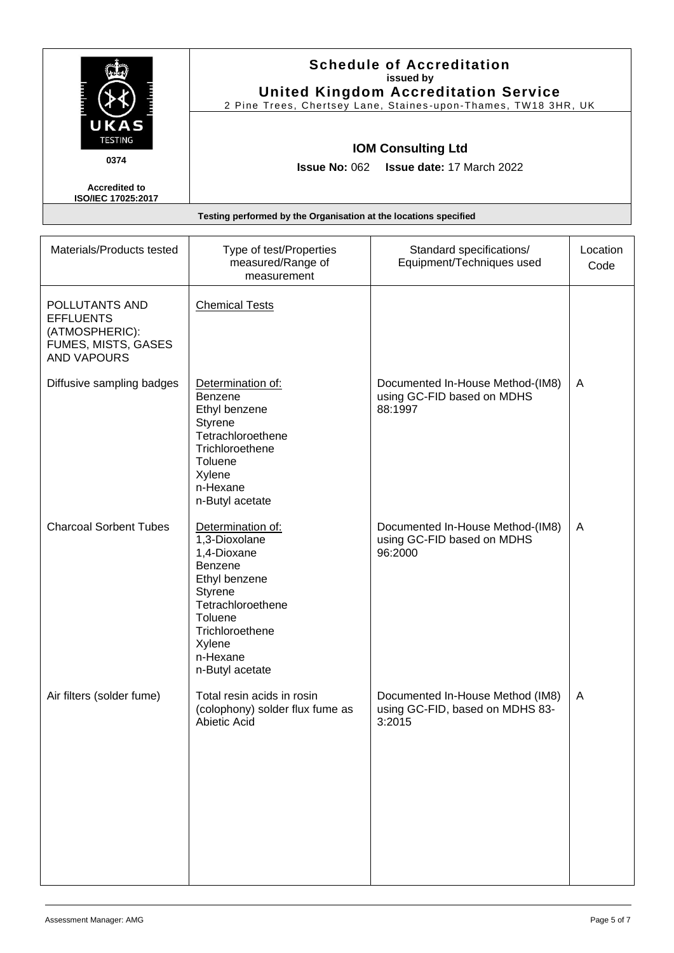|                                                   | <b>Schedule of Accreditation</b><br>issued by<br><b>United Kingdom Accreditation Service</b><br>2 Pine Trees, Chertsey Lane, Staines-upon-Thames, TW18 3HR, UK |  |
|---------------------------------------------------|----------------------------------------------------------------------------------------------------------------------------------------------------------------|--|
| UKAS<br><b>TESTING</b><br>0374                    | <b>IOM Consulting Ltd</b><br><b>Issue No: 062 Issue date: 17 March 2022</b>                                                                                    |  |
| <b>Accredited to</b><br><b>ISO/IEC 17025:2017</b> |                                                                                                                                                                |  |
|                                                   | Testing performed by the Organisation at the locations specified                                                                                               |  |

| Materials/Products tested                                                                         | Type of test/Properties<br>measured/Range of<br>measurement                                                                                                                                 | Standard specifications/<br>Equipment/Techniques used                         | Location<br>Code |
|---------------------------------------------------------------------------------------------------|---------------------------------------------------------------------------------------------------------------------------------------------------------------------------------------------|-------------------------------------------------------------------------------|------------------|
| POLLUTANTS AND<br><b>EFFLUENTS</b><br>(ATMOSPHERIC):<br>FUMES, MISTS, GASES<br><b>AND VAPOURS</b> | <b>Chemical Tests</b>                                                                                                                                                                       |                                                                               |                  |
| Diffusive sampling badges                                                                         | Determination of:<br><b>Benzene</b><br>Ethyl benzene<br>Styrene<br>Tetrachloroethene<br>Trichloroethene<br>Toluene<br>Xylene<br>n-Hexane<br>n-Butyl acetate                                 | Documented In-House Method-(IM8)<br>using GC-FID based on MDHS<br>88:1997     | A                |
| <b>Charcoal Sorbent Tubes</b>                                                                     | Determination of:<br>1,3-Dioxolane<br>1,4-Dioxane<br>Benzene<br>Ethyl benzene<br>Styrene<br>Tetrachloroethene<br><b>Toluene</b><br>Trichloroethene<br>Xylene<br>n-Hexane<br>n-Butyl acetate | Documented In-House Method-(IM8)<br>using GC-FID based on MDHS<br>96:2000     | A                |
| Air filters (solder fume)                                                                         | Total resin acids in rosin<br>(colophony) solder flux fume as<br>Abietic Acid                                                                                                               | Documented In-House Method (IM8)<br>using GC-FID, based on MDHS 83-<br>3:2015 | A                |

H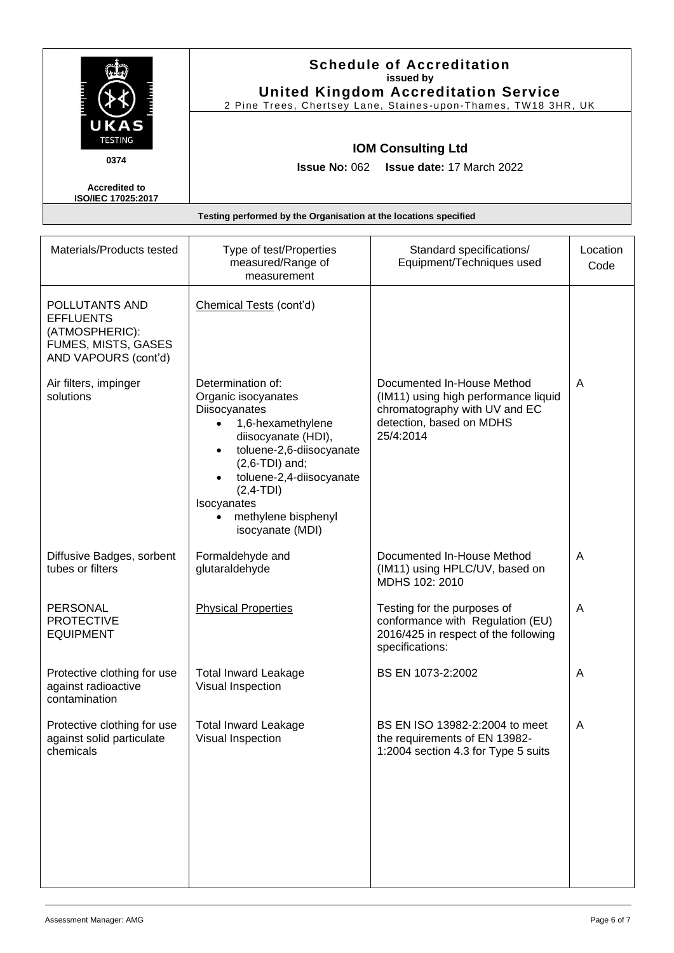|                                                   | <b>Schedule of Accreditation</b><br>issued by<br><b>United Kingdom Accreditation Service</b><br>2 Pine Trees, Chertsey Lane, Staines-upon-Thames, TW18 3HR, UK |
|---------------------------------------------------|----------------------------------------------------------------------------------------------------------------------------------------------------------------|
| UKAS<br><b>TESTING</b><br>0374                    | <b>IOM Consulting Ltd</b><br><b>Issue No: 062 Issue date: 17 March 2022</b>                                                                                    |
| <b>Accredited to</b><br><b>ISO/IEC 17025:2017</b> |                                                                                                                                                                |
|                                                   | Testing performed by the Organisation at the locations specified                                                                                               |

| Materials/Products tested                                                                           | Type of test/Properties<br>measured/Range of<br>measurement                                                                                                                                                                                                                                                    | Standard specifications/<br>Equipment/Techniques used                                                                                        | Location<br>Code |
|-----------------------------------------------------------------------------------------------------|----------------------------------------------------------------------------------------------------------------------------------------------------------------------------------------------------------------------------------------------------------------------------------------------------------------|----------------------------------------------------------------------------------------------------------------------------------------------|------------------|
| POLLUTANTS AND<br><b>EFFLUENTS</b><br>(ATMOSPHERIC):<br>FUMES, MISTS, GASES<br>AND VAPOURS (cont'd) | Chemical Tests (cont'd)                                                                                                                                                                                                                                                                                        |                                                                                                                                              |                  |
| Air filters, impinger<br>solutions                                                                  | Determination of:<br>Organic isocyanates<br>Diisocyanates<br>1,6-hexamethylene<br>$\bullet$<br>diisocyanate (HDI),<br>toluene-2,6-diisocyanate<br>$\bullet$<br>$(2,6-TDI)$ and;<br>toluene-2,4-diisocyanate<br>$\bullet$<br>$(2,4-TDI)$<br>Isocyanates<br>methylene bisphenyl<br>$\bullet$<br>isocyanate (MDI) | Documented In-House Method<br>(IM11) using high performance liquid<br>chromatography with UV and EC<br>detection, based on MDHS<br>25/4:2014 | A                |
| Diffusive Badges, sorbent<br>tubes or filters                                                       | Formaldehyde and<br>glutaraldehyde                                                                                                                                                                                                                                                                             | Documented In-House Method<br>(IM11) using HPLC/UV, based on<br>MDHS 102: 2010                                                               | A                |
| <b>PERSONAL</b><br><b>PROTECTIVE</b><br><b>EQUIPMENT</b>                                            | <b>Physical Properties</b>                                                                                                                                                                                                                                                                                     | Testing for the purposes of<br>conformance with Regulation (EU)<br>2016/425 in respect of the following<br>specifications:                   | A                |
| Protective clothing for use<br>against radioactive<br>contamination                                 | <b>Total Inward Leakage</b><br>Visual Inspection                                                                                                                                                                                                                                                               | BS EN 1073-2:2002                                                                                                                            | A                |
| Protective clothing for use<br>against solid particulate<br>chemicals                               | <b>Total Inward Leakage</b><br>Visual Inspection                                                                                                                                                                                                                                                               | BS EN ISO 13982-2:2004 to meet<br>the requirements of EN 13982-<br>1:2004 section 4.3 for Type 5 suits                                       | A                |